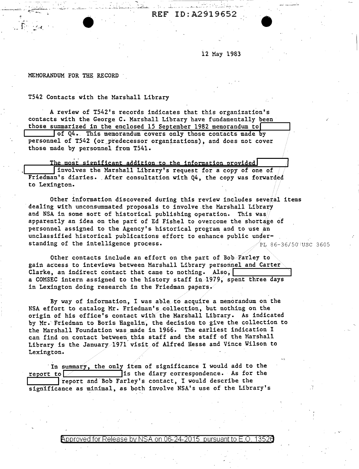REF ID:A2919652

12 May 1983

/

MEMORANDUM FOR THE RECORD

 $\cdot$  -edges  $\cdot$  .

TS42 Contacts with the Marshall Library

... ' . ., · .. • :..:.,.•~··· . . ... '' .. ' .•••. :i.: •..• 11 .... ! ...... l • ~ .. *.i.':J\_.O,.;...* '"" - ' .

A review of T542's records indicates that this organization's contacts with the George C. Marshall Library have fundamentally been those summarized in the enclosed 15 September 1982 memorandum to of Q4. This memorandum covers only those contacts made by personnel of T542 (or predecessor organizations), and does not cover

those made by personnel from T54l.

The most significant addition to the information provided<br>
Involves the Marshall Library's request for a copy of one of<br>
Friedman's diaries. After consultation with Q4, the copy was forwarded to Lexington.

Other information discovered during this review includes several items dealing with unconsummated proposals to involve .the Marshall Library and NSA in some sort of historical publishing operation. This was apparently an idea on the part of Ed Fishel to overcome the shortage of personnel assigned to the Agency's historical program and to use an unclassified historical publications effort to enhance public under standing of the intelligence process.  $\sqrt{PL}$  86-36/50 use 3605

Other contacts include an effort on the part of Bob Farley to gain access to inteviews between Marshall Library personnel and Carter Clarke, an indirect contact that came to nothing. Also, a COMSEC intern assigned to the history staff in.1979, spent three days in Lexington doing research in the Friedman papers.

By way of information, I was able to acquire a memorandum on the NSA effort to catalog Mr. Friedman's collection, but nothing on the origin of his office's contact with the Marshall Library. As indicated by Mr. Friedman to Boris Hagelin, the decision to give the collection to the Marshall Foundation was made in 1966. The earliest indication I can find on contact between this staff and the staff of the Marshall Library is the January 1971 visit of Alfred Hesse and Vince Wilson to Lexington.

In summary, the only item of significance I would add to the report to  $\sim$  1s the diary correspondence. As for the  $r$  report and Bob Farley's contact, I would describe the significance as minimal, as both involve NSA's use of the Library's

Approved for Release by NSA on 06-24-2015  $\,$  pursuant to E.O. 13526  $\,$